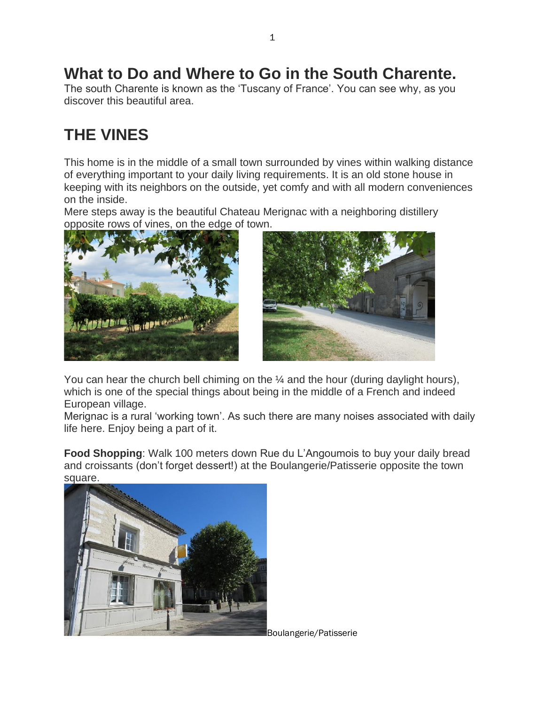# **What to Do and Where to Go in the South Charente.**

The south Charente is known as the 'Tuscany of France'. You can see why, as you discover this beautiful area.

# **THE VINES**

This home is in the middle of a small town surrounded by vines within walking distance of everything important to your daily living requirements. It is an old stone house in keeping with its neighbors on the outside, yet comfy and with all modern conveniences on the inside.

Mere steps away is the beautiful Chateau Merignac with a neighboring distillery opposite rows of vines, on the edge of town.





You can hear the church bell chiming on the  $\frac{1}{4}$  and the hour (during daylight hours), which is one of the special things about being in the middle of a French and indeed European village.

Merignac is a rural 'working town'. As such there are many noises associated with daily life here. Enjoy being a part of it.

**Food Shopping**: Walk 100 meters down Rue du L'Angoumois to buy your daily bread and croissants (don't forget dessert!) at the Boulangerie/Patisserie opposite the town square.



Boulangerie/Patisserie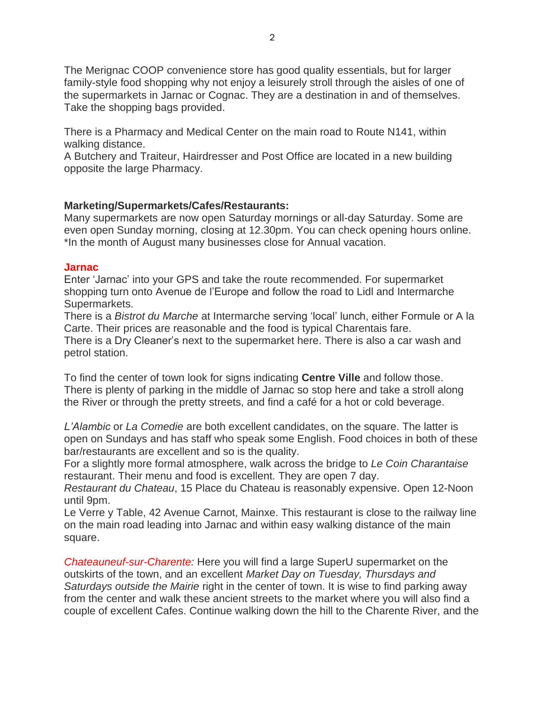The Merignac COOP convenience store has good quality essentials, but for larger family-style food shopping why not enjoy a leisurely stroll through the aisles of one of the supermarkets in Jarnac or Cognac. They are a destination in and of themselves. Take the shopping bags provided.

There is a Pharmacy and Medical Center on the main road to Route N141, within walking distance.

A Butchery and Traiteur, Hairdresser and Post Office are located in a new building opposite the large Pharmacy.

#### **Marketing/Supermarkets/Cafes/Restaurants:**

Many supermarkets are now open Saturday mornings or all-day Saturday. Some are even open Sunday morning, closing at 12.30pm. You can check opening hours online. \*In the month of August many businesses close for Annual vacation.

#### **Jarnac**

Enter 'Jarnac' into your GPS and take the route recommended. For supermarket shopping turn onto Avenue de l'Europe and follow the road to Lidl and Intermarche Supermarkets.

There is a *Bistrot du Marche* at Intermarche serving 'local' lunch, either Formule or A la Carte. Their prices are reasonable and the food is typical Charentais fare.

There is a Dry Cleaner's next to the supermarket here. There is also a car wash and petrol station.

To find the center of town look for signs indicating **Centre Ville** and follow those. There is plenty of parking in the middle of Jarnac so stop here and take a stroll along the River or through the pretty streets, and find a café for a hot or cold beverage.

*L'Alambic* or *La Comedie* are both excellent candidates, on the square. The latter is open on Sundays and has staff who speak some English. Food choices in both of these bar/restaurants are excellent and so is the quality.

For a slightly more formal atmosphere, walk across the bridge to *Le Coin Charantaise* restaurant. Their menu and food is excellent. They are open 7 day.

*Restaurant du Chateau*, 15 Place du Chateau is reasonably expensive. Open 12-Noon until 9pm.

Le Verre y Table, 42 Avenue Carnot, Mainxe. This restaurant is close to the railway line on the main road leading into Jarnac and within easy walking distance of the main square.

*Chateauneuf-sur-Charente:* Here you will find a large SuperU supermarket on the outskirts of the town, and an excellent *Market Day on Tuesday, Thursdays and Saturdays outside the Mairie* right in the center of town. It is wise to find parking away from the center and walk these ancient streets to the market where you will also find a couple of excellent Cafes. Continue walking down the hill to the Charente River, and the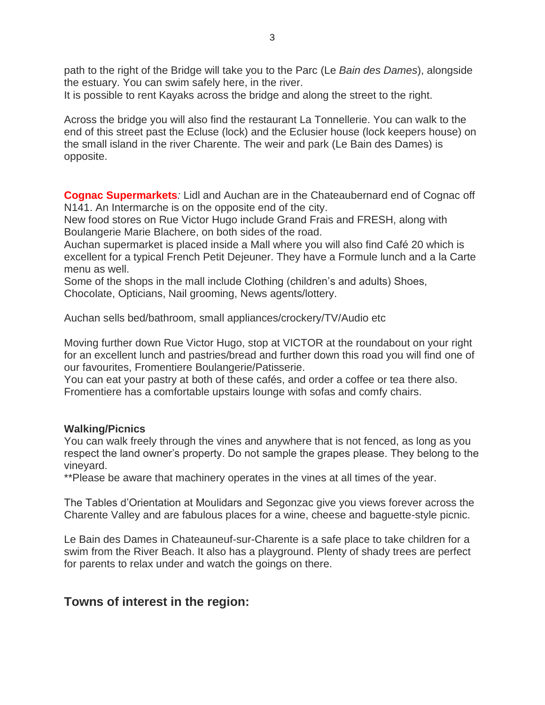path to the right of the Bridge will take you to the Parc (Le *Bain des Dames*), alongside the estuary. You can swim safely here, in the river.

It is possible to rent Kayaks across the bridge and along the street to the right.

Across the bridge you will also find the restaurant La Tonnellerie. You can walk to the end of this street past the Ecluse (lock) and the Eclusier house (lock keepers house) on the small island in the river Charente. The weir and park (Le Bain des Dames) is opposite.

**Cognac Supermarkets***:* Lidl and Auchan are in the Chateaubernard end of Cognac off N141. An Intermarche is on the opposite end of the city.

New food stores on Rue Victor Hugo include Grand Frais and FRESH, along with Boulangerie Marie Blachere, on both sides of the road.

Auchan supermarket is placed inside a Mall where you will also find Café 20 which is excellent for a typical French Petit Dejeuner. They have a Formule lunch and a la Carte menu as well.

Some of the shops in the mall include Clothing (children's and adults) Shoes, Chocolate, Opticians, Nail grooming, News agents/lottery.

Auchan sells bed/bathroom, small appliances/crockery/TV/Audio etc

Moving further down Rue Victor Hugo, stop at VICTOR at the roundabout on your right for an excellent lunch and pastries/bread and further down this road you will find one of our favourites, Fromentiere Boulangerie/Patisserie.

You can eat your pastry at both of these cafés, and order a coffee or tea there also. Fromentiere has a comfortable upstairs lounge with sofas and comfy chairs.

#### **Walking/Picnics**

You can walk freely through the vines and anywhere that is not fenced, as long as you respect the land owner's property. Do not sample the grapes please. They belong to the vineyard.

\*\*Please be aware that machinery operates in the vines at all times of the year.

The Tables d'Orientation at Moulidars and Segonzac give you views forever across the Charente Valley and are fabulous places for a wine, cheese and baguette-style picnic.

Le Bain des Dames in Chateauneuf-sur-Charente is a safe place to take children for a swim from the River Beach. It also has a playground. Plenty of shady trees are perfect for parents to relax under and watch the goings on there.

# **Towns of interest in the region:**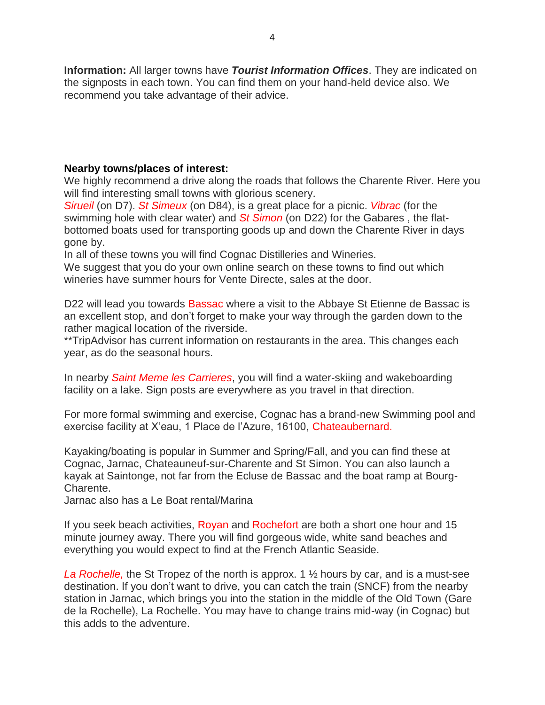**Information:** All larger towns have *Tourist Information Offices*. They are indicated on the signposts in each town. You can find them on your hand-held device also. We recommend you take advantage of their advice.

#### **Nearby towns/places of interest:**

We highly recommend a drive along the roads that follows the Charente River. Here you will find interesting small towns with glorious scenery.

*Sirueil* (on D7). *St Simeux* (on D84), is a great place for a picnic. *Vibrac* (for the swimming hole with clear water) and *St Simon* (on D22) for the Gabares , the flatbottomed boats used for transporting goods up and down the Charente River in days gone by.

In all of these towns you will find Cognac Distilleries and Wineries.

We suggest that you do your own online search on these towns to find out which wineries have summer hours for Vente Directe, sales at the door.

D22 will lead you towards Bassac where a visit to the Abbaye St Etienne de Bassac is an excellent stop, and don't forget to make your way through the garden down to the rather magical location of the riverside.

\*\*TripAdvisor has current information on restaurants in the area. This changes each year, as do the seasonal hours.

In nearby *Saint Meme les Carrieres*, you will find a water-skiing and wakeboarding facility on a lake. Sign posts are everywhere as you travel in that direction.

For more formal swimming and exercise, Cognac has a brand-new Swimming pool and exercise facility at X'eau, 1 Place de l'Azure, 16100, Chateaubernard.

Kayaking/boating is popular in Summer and Spring/Fall, and you can find these at Cognac, Jarnac, Chateauneuf-sur-Charente and St Simon. You can also launch a kayak at Saintonge, not far from the Ecluse de Bassac and the boat ramp at Bourg-Charente.

Jarnac also has a Le Boat rental/Marina

If you seek beach activities, Royan and Rochefort are both a short one hour and 15 minute journey away. There you will find gorgeous wide, white sand beaches and everything you would expect to find at the French Atlantic Seaside.

*La Rochelle,* the St Tropez of the north is approx. 1 ½ hours by car, and is a must-see destination. If you don't want to drive, you can catch the train (SNCF) from the nearby station in Jarnac, which brings you into the station in the middle of the Old Town (Gare de la Rochelle), La Rochelle. You may have to change trains mid-way (in Cognac) but this adds to the adventure.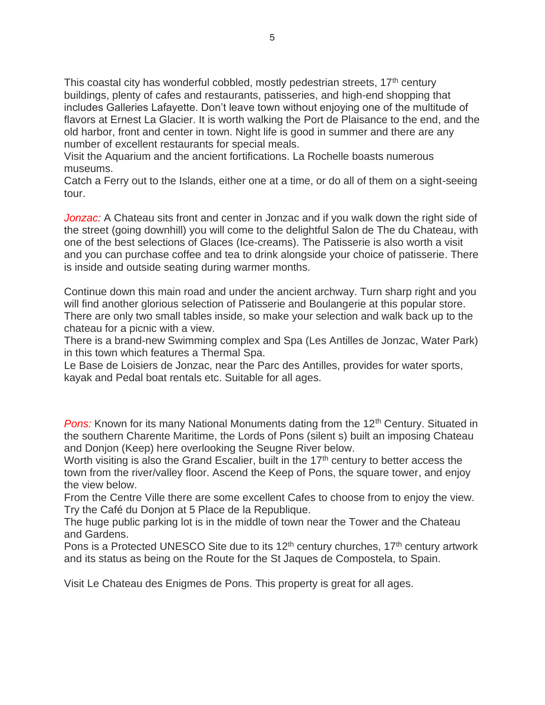This coastal city has wonderful cobbled, mostly pedestrian streets, 17<sup>th</sup> century buildings, plenty of cafes and restaurants, patisseries, and high-end shopping that includes Galleries Lafayette. Don't leave town without enjoying one of the multitude of flavors at Ernest La Glacier. It is worth walking the Port de Plaisance to the end, and the old harbor, front and center in town. Night life is good in summer and there are any number of excellent restaurants for special meals.

Visit the Aquarium and the ancient fortifications. La Rochelle boasts numerous museums.

Catch a Ferry out to the Islands, either one at a time, or do all of them on a sight-seeing tour.

*Jonzac:* A Chateau sits front and center in Jonzac and if you walk down the right side of the street (going downhill) you will come to the delightful Salon de The du Chateau, with one of the best selections of Glaces (Ice-creams). The Patisserie is also worth a visit and you can purchase coffee and tea to drink alongside your choice of patisserie. There is inside and outside seating during warmer months.

Continue down this main road and under the ancient archway. Turn sharp right and you will find another glorious selection of Patisserie and Boulangerie at this popular store. There are only two small tables inside, so make your selection and walk back up to the chateau for a picnic with a view.

There is a brand-new Swimming complex and Spa (Les Antilles de Jonzac, Water Park) in this town which features a Thermal Spa.

Le Base de Loisiers de Jonzac, near the Parc des Antilles, provides for water sports, kayak and Pedal boat rentals etc. Suitable for all ages.

**Pons:** Known for its many National Monuments dating from the 12<sup>th</sup> Century. Situated in the southern Charente Maritime, the Lords of Pons (silent s) built an imposing Chateau and Donjon (Keep) here overlooking the Seugne River below.

Worth visiting is also the Grand Escalier, built in the  $17<sup>th</sup>$  century to better access the town from the river/valley floor. Ascend the Keep of Pons, the square tower, and enjoy the view below.

From the Centre Ville there are some excellent Cafes to choose from to enjoy the view. Try the Café du Donjon at 5 Place de la Republique.

The huge public parking lot is in the middle of town near the Tower and the Chateau and Gardens.

Pons is a Protected UNESCO Site due to its  $12<sup>th</sup>$  century churches,  $17<sup>th</sup>$  century artwork and its status as being on the Route for the St Jaques de Compostela, to Spain.

Visit Le Chateau des Enigmes de Pons. This property is great for all ages.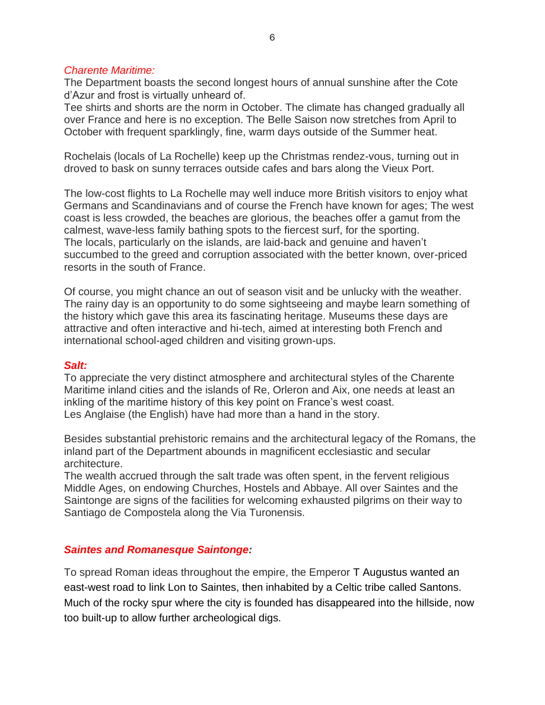#### *Charente Maritime:*

The Department boasts the second longest hours of annual sunshine after the Cote d'Azur and frost is virtually unheard of.

Tee shirts and shorts are the norm in October. The climate has changed gradually all over France and here is no exception. The Belle Saison now stretches from April to October with frequent sparklingly, fine, warm days outside of the Summer heat.

Rochelais (locals of La Rochelle) keep up the Christmas rendez-vous, turning out in droved to bask on sunny terraces outside cafes and bars along the Vieux Port.

The low-cost flights to La Rochelle may well induce more British visitors to enjoy what Germans and Scandinavians and of course the French have known for ages; The west coast is less crowded, the beaches are glorious, the beaches offer a gamut from the calmest, wave-less family bathing spots to the fiercest surf, for the sporting. The locals, particularly on the islands, are laid-back and genuine and haven't succumbed to the greed and corruption associated with the better known, over-priced resorts in the south of France.

Of course, you might chance an out of season visit and be unlucky with the weather. The rainy day is an opportunity to do some sightseeing and maybe learn something of the history which gave this area its fascinating heritage. Museums these days are attractive and often interactive and hi-tech, aimed at interesting both French and international school-aged children and visiting grown-ups.

#### *Salt:*

To appreciate the very distinct atmosphere and architectural styles of the Charente Maritime inland cities and the islands of Re, Orleron and Aix, one needs at least an inkling of the maritime history of this key point on France's west coast. Les Anglaise (the English) have had more than a hand in the story.

Besides substantial prehistoric remains and the architectural legacy of the Romans, the inland part of the Department abounds in magnificent ecclesiastic and secular architecture.

The wealth accrued through the salt trade was often spent, in the fervent religious Middle Ages, on endowing Churches, Hostels and Abbaye. All over Saintes and the Saintonge are signs of the facilities for welcoming exhausted pilgrims on their way to Santiago de Compostela along the Via Turonensis.

#### *Saintes and Romanesque Saintonge:*

To spread Roman ideas throughout the empire, the Emperor T Augustus wanted an east-west road to link Lon to Saintes, then inhabited by a Celtic tribe called Santons. Much of the rocky spur where the city is founded has disappeared into the hillside, now too built-up to allow further archeological digs.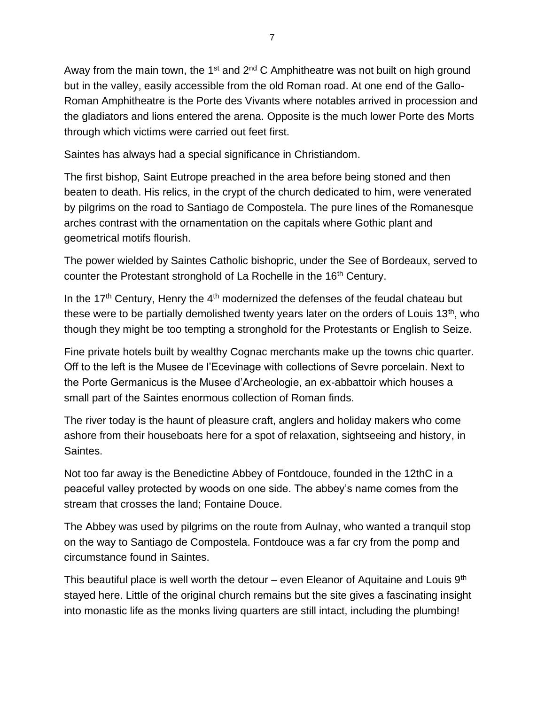Away from the main town, the 1<sup>st</sup> and 2<sup>nd</sup> C Amphitheatre was not built on high ground but in the valley, easily accessible from the old Roman road. At one end of the Gallo-Roman Amphitheatre is the Porte des Vivants where notables arrived in procession and the gladiators and lions entered the arena. Opposite is the much lower Porte des Morts through which victims were carried out feet first.

Saintes has always had a special significance in Christiandom.

The first bishop, Saint Eutrope preached in the area before being stoned and then beaten to death. His relics, in the crypt of the church dedicated to him, were venerated by pilgrims on the road to Santiago de Compostela. The pure lines of the Romanesque arches contrast with the ornamentation on the capitals where Gothic plant and geometrical motifs flourish.

The power wielded by Saintes Catholic bishopric, under the See of Bordeaux, served to counter the Protestant stronghold of La Rochelle in the 16<sup>th</sup> Century.

In the 17<sup>th</sup> Century, Henry the  $4<sup>th</sup>$  modernized the defenses of the feudal chateau but these were to be partially demolished twenty years later on the orders of Louis 13<sup>th</sup>, who though they might be too tempting a stronghold for the Protestants or English to Seize.

Fine private hotels built by wealthy Cognac merchants make up the towns chic quarter. Off to the left is the Musee de l'Ecevinage with collections of Sevre porcelain. Next to the Porte Germanicus is the Musee d'Archeologie, an ex-abbattoir which houses a small part of the Saintes enormous collection of Roman finds.

The river today is the haunt of pleasure craft, anglers and holiday makers who come ashore from their houseboats here for a spot of relaxation, sightseeing and history, in Saintes.

Not too far away is the Benedictine Abbey of Fontdouce, founded in the 12thC in a peaceful valley protected by woods on one side. The abbey's name comes from the stream that crosses the land; Fontaine Douce.

The Abbey was used by pilgrims on the route from Aulnay, who wanted a tranquil stop on the way to Santiago de Compostela. Fontdouce was a far cry from the pomp and circumstance found in Saintes.

This beautiful place is well worth the detour – even Eleanor of Aquitaine and Louis  $9<sup>th</sup>$ stayed here. Little of the original church remains but the site gives a fascinating insight into monastic life as the monks living quarters are still intact, including the plumbing!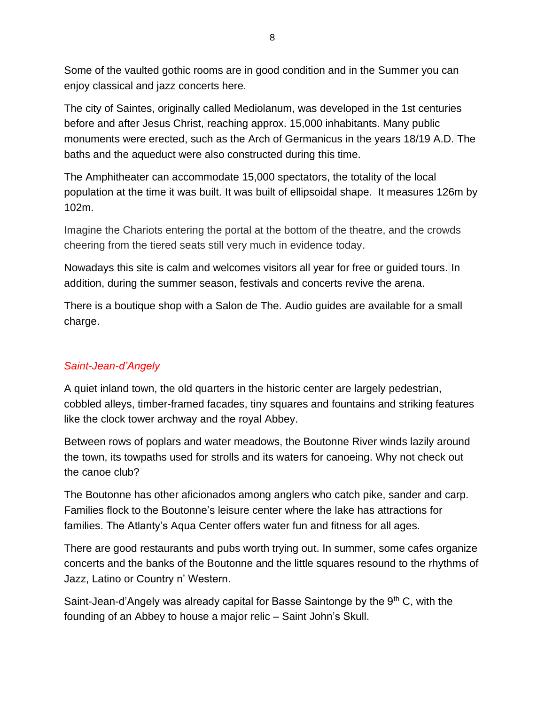Some of the vaulted gothic rooms are in good condition and in the Summer you can enjoy classical and jazz concerts here.

The city of Saintes, originally called Mediolanum, was developed in the 1st centuries before and after Jesus Christ, reaching approx. 15,000 inhabitants. Many public monuments were erected, such as the Arch of Germanicus in the years 18/19 A.D. The baths and the aqueduct were also constructed during this time.

The Amphitheater can accommodate 15,000 spectators, the totality of the local population at the time it was built. It was built of ellipsoidal shape. It measures 126m by 102m.

Imagine the Chariots entering the portal at the bottom of the theatre, and the crowds cheering from the tiered seats still very much in evidence today.

Nowadays this site is calm and welcomes visitors all year for free or guided tours. In addition, during the summer season, festivals and concerts revive the arena.

There is a boutique shop with a Salon de The. Audio guides are available for a small charge.

# *Saint-Jean-d'Angely*

A quiet inland town, the old quarters in the historic center are largely pedestrian, cobbled alleys, timber-framed facades, tiny squares and fountains and striking features like the clock tower archway and the royal Abbey.

Between rows of poplars and water meadows, the Boutonne River winds lazily around the town, its towpaths used for strolls and its waters for canoeing. Why not check out the canoe club?

The Boutonne has other aficionados among anglers who catch pike, sander and carp. Families flock to the Boutonne's leisure center where the lake has attractions for families. The Atlanty's Aqua Center offers water fun and fitness for all ages.

There are good restaurants and pubs worth trying out. In summer, some cafes organize concerts and the banks of the Boutonne and the little squares resound to the rhythms of Jazz, Latino or Country n' Western.

Saint-Jean-d'Angely was already capital for Basse Saintonge by the 9<sup>th</sup> C, with the founding of an Abbey to house a major relic – Saint John's Skull.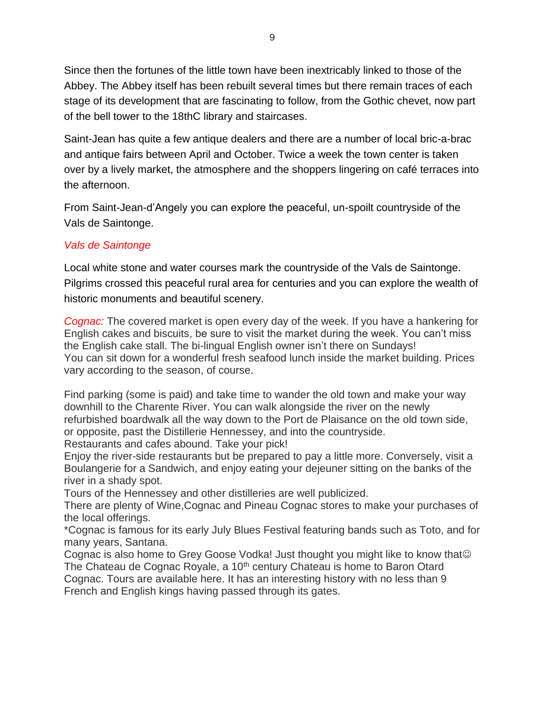Since then the fortunes of the little town have been inextricably linked to those of the Abbey. The Abbey itself has been rebuilt several times but there remain traces of each stage of its development that are fascinating to follow, from the Gothic chevet, now part of the bell tower to the 18thC library and staircases.

Saint-Jean has quite a few antique dealers and there are a number of local bric-a-brac and antique fairs between April and October. Twice a week the town center is taken over by a lively market, the atmosphere and the shoppers lingering on café terraces into the afternoon.

From Saint-Jean-d'Angely you can explore the peaceful, un-spoilt countryside of the Vals de Saintonge.

### *Vals de Saintonge*

Local white stone and water courses mark the countryside of the Vals de Saintonge. Pilgrims crossed this peaceful rural area for centuries and you can explore the wealth of historic monuments and beautiful scenery.

*Cognac:* The covered market is open every day of the week. If you have a hankering for English cakes and biscuits, be sure to visit the market during the week. You can't miss the English cake stall. The bi-lingual English owner isn't there on Sundays! You can sit down for a wonderful fresh seafood lunch inside the market building. Prices vary according to the season, of course.

Find parking (some is paid) and take time to wander the old town and make your way downhill to the Charente River. You can walk alongside the river on the newly refurbished boardwalk all the way down to the Port de Plaisance on the old town side, or opposite, past the Distillerie Hennessey, and into the countryside.

Restaurants and cafes abound. Take your pick!

Enjoy the river-side restaurants but be prepared to pay a little more. Conversely, visit a Boulangerie for a Sandwich, and enjoy eating your dejeuner sitting on the banks of the river in a shady spot.

Tours of the Hennessey and other distilleries are well publicized.

There are plenty of Wine,Cognac and Pineau Cognac stores to make your purchases of the local offerings.

\*Cognac is famous for its early July Blues Festival featuring bands such as Toto, and for many years, Santana.

Cognac is also home to Grey Goose Vodka! Just thought you might like to know that The Chateau de Cognac Royale, a 10<sup>th</sup> century Chateau is home to Baron Otard Cognac. Tours are available here. It has an interesting history with no less than 9 French and English kings having passed through its gates.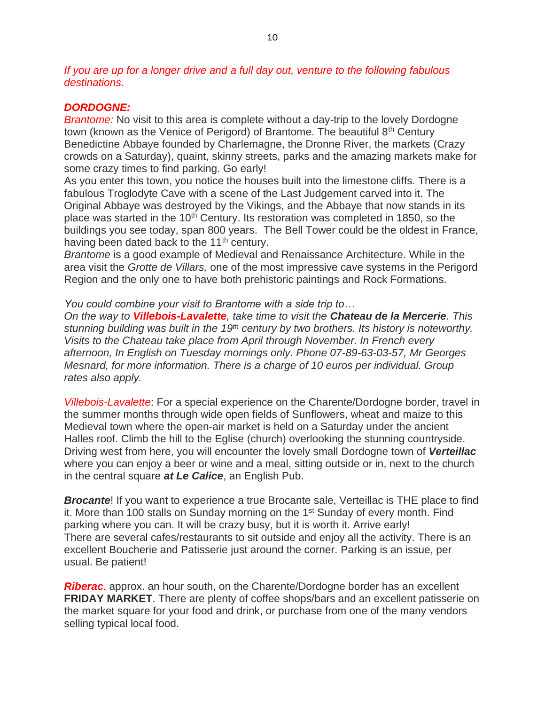*If you are up for a longer drive and a full day out, venture to the following fabulous destinations.*

#### *DORDOGNE:*

*Brantome:* No visit to this area is complete without a day-trip to the lovely Dordogne town (known as the Venice of Perigord) of Brantome. The beautiful 8<sup>th</sup> Century Benedictine Abbaye founded by Charlemagne, the Dronne River, the markets (Crazy crowds on a Saturday), quaint, skinny streets, parks and the amazing markets make for some crazy times to find parking. Go early!

As you enter this town, you notice the houses built into the limestone cliffs. There is a fabulous Troglodyte Cave with a scene of the Last Judgement carved into it. The Original Abbaye was destroyed by the Vikings, and the Abbaye that now stands in its place was started in the 10<sup>th</sup> Century. Its restoration was completed in 1850, so the buildings you see today, span 800 years. The Bell Tower could be the oldest in France, having been dated back to the 11<sup>th</sup> century.

*Brantome* is a good example of Medieval and Renaissance Architecture. While in the area visit the *Grotte de Villars,* one of the most impressive cave systems in the Perigord Region and the only one to have both prehistoric paintings and Rock Formations.

*You could combine your visit to Brantome with a side trip to…*

*On the way to Villebois-Lavalette, take time to visit the Chateau de la Mercerie. This stunning building was built in the 19th century by two brothers. Its history is noteworthy. Visits to the Chateau take place from April through November. In French every afternoon, In English on Tuesday mornings only. Phone 07-89-63-03-57, Mr Georges Mesnard, for more information. There is a charge of 10 euros per individual. Group rates also apply.* 

*Villebois-Lavalette*: For a special experience on the Charente/Dordogne border, travel in the summer months through wide open fields of Sunflowers, wheat and maize to this Medieval town where the open-air market is held on a Saturday under the ancient Halles roof. Climb the hill to the Eglise (church) overlooking the stunning countryside. Driving west from here, you will encounter the lovely small Dordogne town of *Verteillac*  where you can enjoy a beer or wine and a meal, sitting outside or in, next to the church in the central square *at Le Calice*, an English Pub.

**Brocante**! If you want to experience a true Brocante sale, Verteillac is THE place to find it. More than 100 stalls on Sunday morning on the 1<sup>st</sup> Sunday of every month. Find parking where you can. It will be crazy busy, but it is worth it. Arrive early! There are several cafes/restaurants to sit outside and enjoy all the activity. There is an excellent Boucherie and Patisserie just around the corner. Parking is an issue, per usual. Be patient!

*Riberac*, approx. an hour south, on the Charente/Dordogne border has an excellent **FRIDAY MARKET**. There are plenty of coffee shops/bars and an excellent patisserie on the market square for your food and drink, or purchase from one of the many vendors selling typical local food.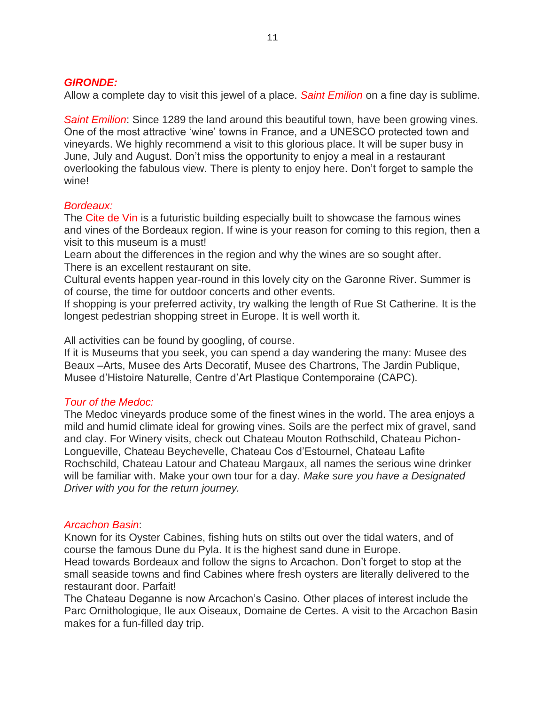#### *GIRONDE:*

Allow a complete day to visit this jewel of a place. *Saint Emilion* on a fine day is sublime.

*Saint Emilion*: Since 1289 the land around this beautiful town, have been growing vines. One of the most attractive 'wine' towns in France, and a UNESCO protected town and vineyards. We highly recommend a visit to this glorious place. It will be super busy in June, July and August. Don't miss the opportunity to enjoy a meal in a restaurant overlooking the fabulous view. There is plenty to enjoy here. Don't forget to sample the wine!

#### *Bordeaux:*

The Cite de Vin is a futuristic building especially built to showcase the famous wines and vines of the Bordeaux region. If wine is your reason for coming to this region, then a visit to this museum is a must!

Learn about the differences in the region and why the wines are so sought after. There is an excellent restaurant on site.

Cultural events happen year-round in this lovely city on the Garonne River. Summer is of course, the time for outdoor concerts and other events.

If shopping is your preferred activity, try walking the length of Rue St Catherine. It is the longest pedestrian shopping street in Europe. It is well worth it.

All activities can be found by googling, of course.

If it is Museums that you seek, you can spend a day wandering the many: Musee des Beaux –Arts, Musee des Arts Decoratif, Musee des Chartrons, The Jardin Publique, Musee d'Histoire Naturelle, Centre d'Art Plastique Contemporaine (CAPC).

#### *Tour of the Medoc:*

The Medoc vineyards produce some of the finest wines in the world. The area enjoys a mild and humid climate ideal for growing vines. Soils are the perfect mix of gravel, sand and clay. For Winery visits, check out Chateau Mouton Rothschild, Chateau Pichon-Longueville, Chateau Beychevelle, Chateau Cos d'Estournel, Chateau Lafite Rochschild, Chateau Latour and Chateau Margaux, all names the serious wine drinker will be familiar with. Make your own tour for a day. *Make sure you have a Designated Driver with you for the return journey.*

#### *Arcachon Basin*:

Known for its Oyster Cabines, fishing huts on stilts out over the tidal waters, and of course the famous Dune du Pyla. It is the highest sand dune in Europe.

Head towards Bordeaux and follow the signs to Arcachon. Don't forget to stop at the small seaside towns and find Cabines where fresh oysters are literally delivered to the restaurant door. Parfait!

The Chateau Deganne is now Arcachon's Casino. Other places of interest include the Parc Ornithologique, Ile aux Oiseaux, Domaine de Certes. A visit to the Arcachon Basin makes for a fun-filled day trip.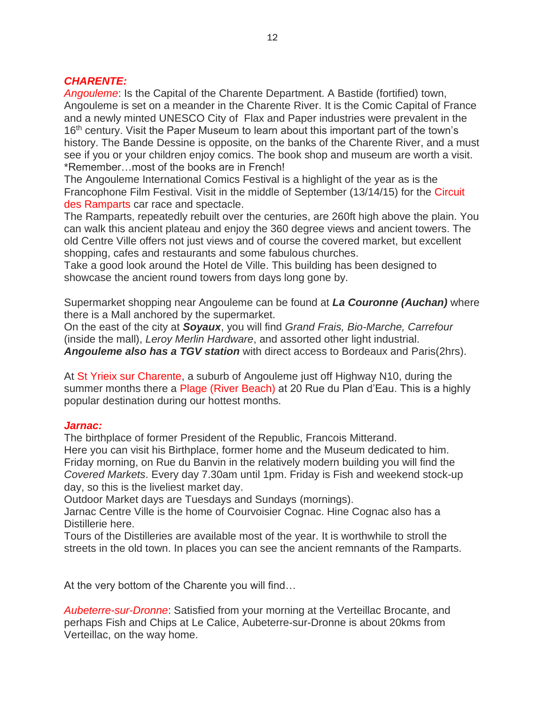#### *CHARENTE:*

*Angouleme*: Is the Capital of the Charente Department. A Bastide (fortified) town, Angouleme is set on a meander in the Charente River. It is the Comic Capital of France and a newly minted UNESCO City of Flax and Paper industries were prevalent in the 16<sup>th</sup> century. Visit the Paper Museum to learn about this important part of the town's history. The Bande Dessine is opposite, on the banks of the Charente River, and a must see if you or your children enjoy comics. The book shop and museum are worth a visit. \*Remember…most of the books are in French!

The Angouleme International Comics Festival is a highlight of the year as is the Francophone Film Festival. Visit in the middle of September (13/14/15) for the Circuit des Ramparts car race and spectacle.

The Ramparts, repeatedly rebuilt over the centuries, are 260ft high above the plain. You can walk this ancient plateau and enjoy the 360 degree views and ancient towers. The old Centre Ville offers not just views and of course the covered market, but excellent shopping, cafes and restaurants and some fabulous churches.

Take a good look around the Hotel de Ville. This building has been designed to showcase the ancient round towers from days long gone by.

Supermarket shopping near Angouleme can be found at *La Couronne (Auchan)* where there is a Mall anchored by the supermarket.

On the east of the city at *Soyaux*, you will find *Grand Frais, Bio-Marche, Carrefour* (inside the mall), *Leroy Merlin Hardware*, and assorted other light industrial. *Angouleme also has a TGV station* with direct access to Bordeaux and Paris(2hrs).

At St Yrieix sur Charente, a suburb of Angouleme just off Highway N10, during the summer months there a Plage (River Beach) at 20 Rue du Plan d'Eau. This is a highly popular destination during our hottest months.

#### *Jarnac:*

The birthplace of former President of the Republic, Francois Mitterand. Here you can visit his Birthplace, former home and the Museum dedicated to him. Friday morning, on Rue du Banvin in the relatively modern building you will find the *Covered Markets*. Every day 7.30am until 1pm. Friday is Fish and weekend stock-up day, so this is the liveliest market day.

Outdoor Market days are Tuesdays and Sundays (mornings).

Jarnac Centre Ville is the home of Courvoisier Cognac. Hine Cognac also has a Distillerie here.

Tours of the Distilleries are available most of the year. It is worthwhile to stroll the streets in the old town. In places you can see the ancient remnants of the Ramparts.

At the very bottom of the Charente you will find…

*Aubeterre-sur-Dronne*: Satisfied from your morning at the Verteillac Brocante, and perhaps Fish and Chips at Le Calice, Aubeterre-sur-Dronne is about 20kms from Verteillac, on the way home.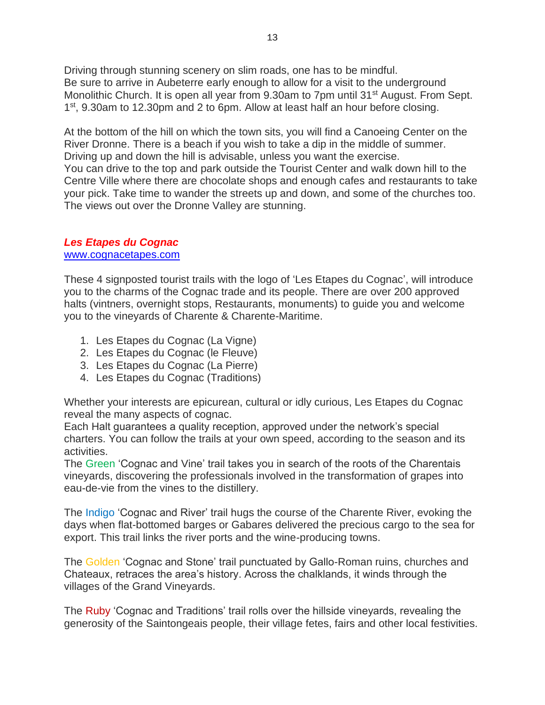Driving through stunning scenery on slim roads, one has to be mindful. Be sure to arrive in Aubeterre early enough to allow for a visit to the underground Monolithic Church. It is open all year from 9.30am to 7pm until 31<sup>st</sup> August. From Sept. 1<sup>st</sup>, 9.30am to 12.30pm and 2 to 6pm. Allow at least half an hour before closing.

At the bottom of the hill on which the town sits, you will find a Canoeing Center on the River Dronne. There is a beach if you wish to take a dip in the middle of summer. Driving up and down the hill is advisable, unless you want the exercise. You can drive to the top and park outside the Tourist Center and walk down hill to the Centre Ville where there are chocolate shops and enough cafes and restaurants to take your pick. Take time to wander the streets up and down, and some of the churches too. The views out over the Dronne Valley are stunning.

#### *Les Etapes du Cognac*

#### [www.cognacetapes.com](http://www.cognacetapes.com/)

These 4 signposted tourist trails with the logo of 'Les Etapes du Cognac', will introduce you to the charms of the Cognac trade and its people. There are over 200 approved halts (vintners, overnight stops, Restaurants, monuments) to guide you and welcome you to the vineyards of Charente & Charente-Maritime.

- 1. Les Etapes du Cognac (La Vigne)
- 2. Les Etapes du Cognac (le Fleuve)
- 3. Les Etapes du Cognac (La Pierre)
- 4. Les Etapes du Cognac (Traditions)

Whether your interests are epicurean, cultural or idly curious, Les Etapes du Cognac reveal the many aspects of cognac.

Each Halt guarantees a quality reception, approved under the network's special charters. You can follow the trails at your own speed, according to the season and its activities.

The Green 'Cognac and Vine' trail takes you in search of the roots of the Charentais vineyards, discovering the professionals involved in the transformation of grapes into eau-de-vie from the vines to the distillery.

The Indigo 'Cognac and River' trail hugs the course of the Charente River, evoking the days when flat-bottomed barges or Gabares delivered the precious cargo to the sea for export. This trail links the river ports and the wine-producing towns.

The Golden 'Cognac and Stone' trail punctuated by Gallo-Roman ruins, churches and Chateaux, retraces the area's history. Across the chalklands, it winds through the villages of the Grand Vineyards.

The Ruby 'Cognac and Traditions' trail rolls over the hillside vineyards, revealing the generosity of the Saintongeais people, their village fetes, fairs and other local festivities.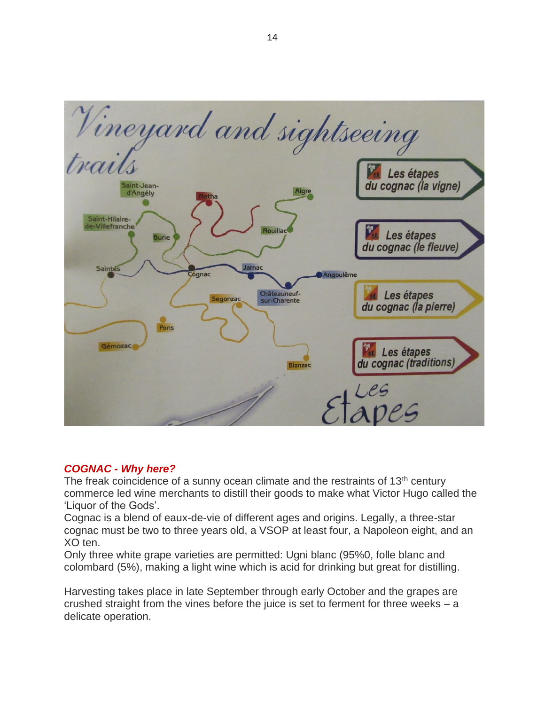

#### *COGNAC - Why here?*

The freak coincidence of a sunny ocean climate and the restraints of  $13<sup>th</sup>$  century commerce led wine merchants to distill their goods to make what Victor Hugo called the 'Liquor of the Gods'.

Cognac is a blend of eaux-de-vie of different ages and origins. Legally, a three-star cognac must be two to three years old, a VSOP at least four, a Napoleon eight, and an XO ten.

Only three white grape varieties are permitted: Ugni blanc (95%0, folle blanc and colombard (5%), making a light wine which is acid for drinking but great for distilling.

Harvesting takes place in late September through early October and the grapes are crushed straight from the vines before the juice is set to ferment for three weeks – a delicate operation.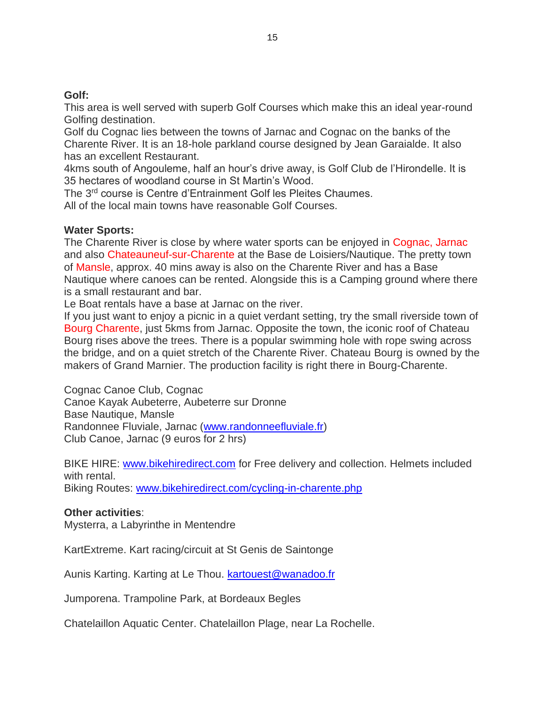#### **Golf:**

This area is well served with superb Golf Courses which make this an ideal year-round Golfing destination.

Golf du Cognac lies between the towns of Jarnac and Cognac on the banks of the Charente River. It is an 18-hole parkland course designed by Jean Garaialde. It also has an excellent Restaurant.

4kms south of Angouleme, half an hour's drive away, is Golf Club de l'Hirondelle. It is 35 hectares of woodland course in St Martin's Wood.

The 3rd course is Centre d'Entrainment Golf les Pleites Chaumes.

All of the local main towns have reasonable Golf Courses.

#### **Water Sports:**

The Charente River is close by where water sports can be enjoyed in Cognac, Jarnac and also Chateauneuf-sur-Charente at the Base de Loisiers/Nautique. The pretty town of Mansle, approx. 40 mins away is also on the Charente River and has a Base Nautique where canoes can be rented. Alongside this is a Camping ground where there is a small restaurant and bar.

Le Boat rentals have a base at Jarnac on the river.

If you just want to enjoy a picnic in a quiet verdant setting, try the small riverside town of Bourg Charente, just 5kms from Jarnac. Opposite the town, the iconic roof of Chateau Bourg rises above the trees. There is a popular swimming hole with rope swing across the bridge, and on a quiet stretch of the Charente River. Chateau Bourg is owned by the makers of Grand Marnier. The production facility is right there in Bourg-Charente.

Cognac Canoe Club, Cognac

Canoe Kayak Aubeterre, Aubeterre sur Dronne Base Nautique, Mansle Randonnee Fluviale, Jarnac [\(www.randonneefluviale.fr\)](http://www.randonneefluviale.fr/) Club Canoe, Jarnac (9 euros for 2 hrs)

BIKE HIRE: [www.bikehiredirect.com](http://www.bikehiredirect.com/) for Free delivery and collection. Helmets included with rental. Biking Routes: [www.bikehiredirect.com/cycling-in-charente.php](http://www.bikehiredirect.com/cycling-in-charente.php)

# **Other activities**:

Mysterra, a Labyrinthe in Mentendre

KartExtreme. Kart racing/circuit at St Genis de Saintonge

Aunis Karting. Karting at Le Thou. [kartouest@wanadoo.fr](mailto:kartouest@wanadoo.fr)

Jumporena. Trampoline Park, at Bordeaux Begles

Chatelaillon Aquatic Center. Chatelaillon Plage, near La Rochelle.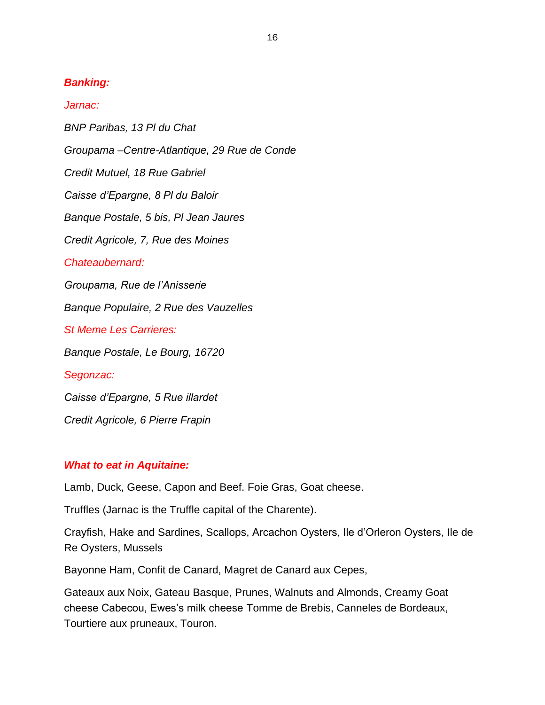### *Banking:*

#### *Jarnac:*

*BNP Paribas, 13 Pl du Chat*

*Groupama –Centre-Atlantique, 29 Rue de Conde*

*Credit Mutuel, 18 Rue Gabriel*

*Caisse d'Epargne, 8 Pl du Baloir*

*Banque Postale, 5 bis, Pl Jean Jaures*

*Credit Agricole, 7, Rue des Moines*

*Chateaubernard:*

*Groupama, Rue de l'Anisserie*

*Banque Populaire, 2 Rue des Vauzelles*

*St Meme Les Carrieres:* 

*Banque Postale, Le Bourg, 16720* 

*Segonzac:*

*Caisse d'Epargne, 5 Rue illardet*

*Credit Agricole, 6 Pierre Frapin*

#### *What to eat in Aquitaine:*

Lamb, Duck, Geese, Capon and Beef. Foie Gras, Goat cheese.

Truffles (Jarnac is the Truffle capital of the Charente).

Crayfish, Hake and Sardines, Scallops, Arcachon Oysters, Ile d'Orleron Oysters, Ile de Re Oysters, Mussels

Bayonne Ham, Confit de Canard, Magret de Canard aux Cepes,

Gateaux aux Noix, Gateau Basque, Prunes, Walnuts and Almonds, Creamy Goat cheese Cabecou, Ewes's milk cheese Tomme de Brebis, Canneles de Bordeaux, Tourtiere aux pruneaux, Touron.